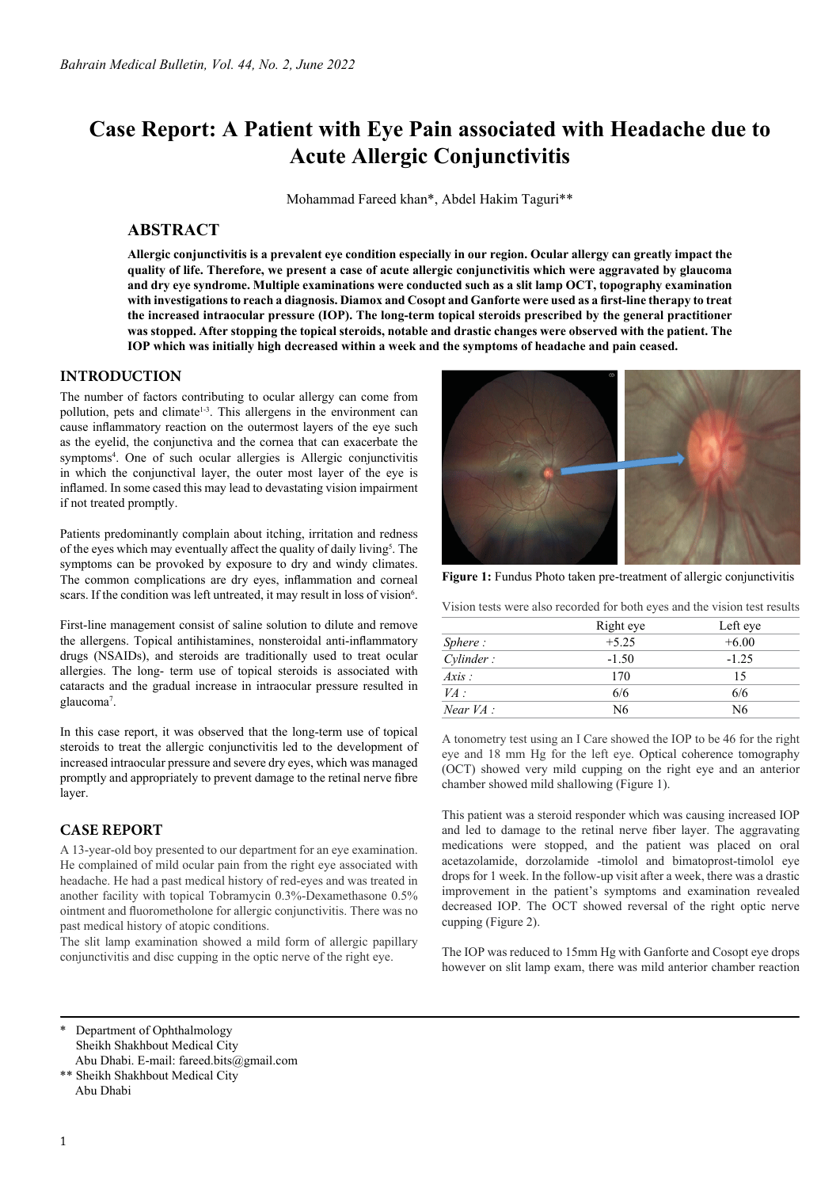# **Case Report: A Patient with Eye Pain associated with Headache due to Acute Allergic Conjunctivitis**

Mohammad Fareed khan\*, Abdel Hakim Taguri\*\*

## **ABSTRACT**

**Allergic conjunctivitis is a prevalent eye condition especially in our region. Ocular allergy can greatly impact the quality of life. Therefore, we present a case of acute allergic conjunctivitis which were aggravated by glaucoma and dry eye syndrome. Multiple examinations were conducted such as a slit lamp OCT, topography examination with investigations to reach a diagnosis. Diamox and Cosopt and Ganforte were used as a first-line therapy to treat the increased intraocular pressure (IOP). The long-term topical steroids prescribed by the general practitioner was stopped. After stopping the topical steroids, notable and drastic changes were observed with the patient. The IOP which was initially high decreased within a week and the symptoms of headache and pain ceased.**

#### **INTRODUCTION**

The number of factors contributing to ocular allergy can come from pollution, pets and climate<sup>1-3</sup>. This allergens in the environment can cause inflammatory reaction on the outermost layers of the eye such as the eyelid, the conjunctiva and the cornea that can exacerbate the symptoms<sup>4</sup>. One of such ocular allergies is Allergic conjunctivitis in which the conjunctival layer, the outer most layer of the eye is inflamed. In some cased this may lead to devastating vision impairment if not treated promptly.

Patients predominantly complain about itching, irritation and redness of the eyes which may eventually affect the quality of daily living<sup>5</sup>. The symptoms can be provoked by exposure to dry and windy climates. The common complications are dry eyes, inflammation and corneal scars. If the condition was left untreated, it may result in loss of vision<sup>6</sup>.

First-line management consist of saline solution to dilute and remove the allergens. Topical antihistamines, nonsteroidal anti-inflammatory drugs (NSAIDs), and steroids are traditionally used to treat ocular allergies. The long- term use of topical steroids is associated with cataracts and the gradual increase in intraocular pressure resulted in glaucoma<sup>7</sup>.

In this case report, it was observed that the long-term use of topical steroids to treat the allergic conjunctivitis led to the development of increased intraocular pressure and severe dry eyes, which was managed promptly and appropriately to prevent damage to the retinal nerve fibre layer.

## **CASE REPORT**

A 13-year-old boy presented to our department for an eye examination. He complained of mild ocular pain from the right eye associated with headache. He had a past medical history of red-eyes and was treated in another facility with topical Tobramycin 0.3%-Dexamethasone 0.5% ointment and fluorometholone for allergic conjunctivitis. There was no past medical history of atopic conditions.

The slit lamp examination showed a mild form of allergic papillary conjunctivitis and disc cupping in the optic nerve of the right eye.



**Figure 1:** Fundus Photo taken pre-treatment of allergic conjunctivitis

Vision tests were also recorded for both eyes and the vision test results

|             | Right eye | Left eye |
|-------------|-----------|----------|
| Sphere:     | $+5.25$   | $+6.00$  |
| Cylinder:   | $-1.50$   | $-1.25$  |
| Axis:       | 170       | 15       |
| VA:         | 6/6       | 6/6      |
| Near $VA$ : | N6        | N6       |

A tonometry test using an I Care showed the IOP to be 46 for the right eye and 18 mm Hg for the left eye. Optical coherence tomography (OCT) showed very mild cupping on the right eye and an anterior chamber showed mild shallowing (Figure 1).

This patient was a steroid responder which was causing increased IOP and led to damage to the retinal nerve fiber layer. The aggravating medications were stopped, and the patient was placed on oral acetazolamide, dorzolamide -timolol and bimatoprost-timolol eye drops for 1 week. In the follow-up visit after a week, there was a drastic improvement in the patient's symptoms and examination revealed decreased IOP. The OCT showed reversal of the right optic nerve cupping (Figure 2).

The IOP was reduced to 15mm Hg with Ganforte and Cosopt eye drops however on slit lamp exam, there was mild anterior chamber reaction

Department of Ophthalmology Sheikh Shakhbout Medical City Abu Dhabi. E-mail: fareed.bits@gmail.com

\*\* Sheikh Shakhbout Medical City Abu Dhabi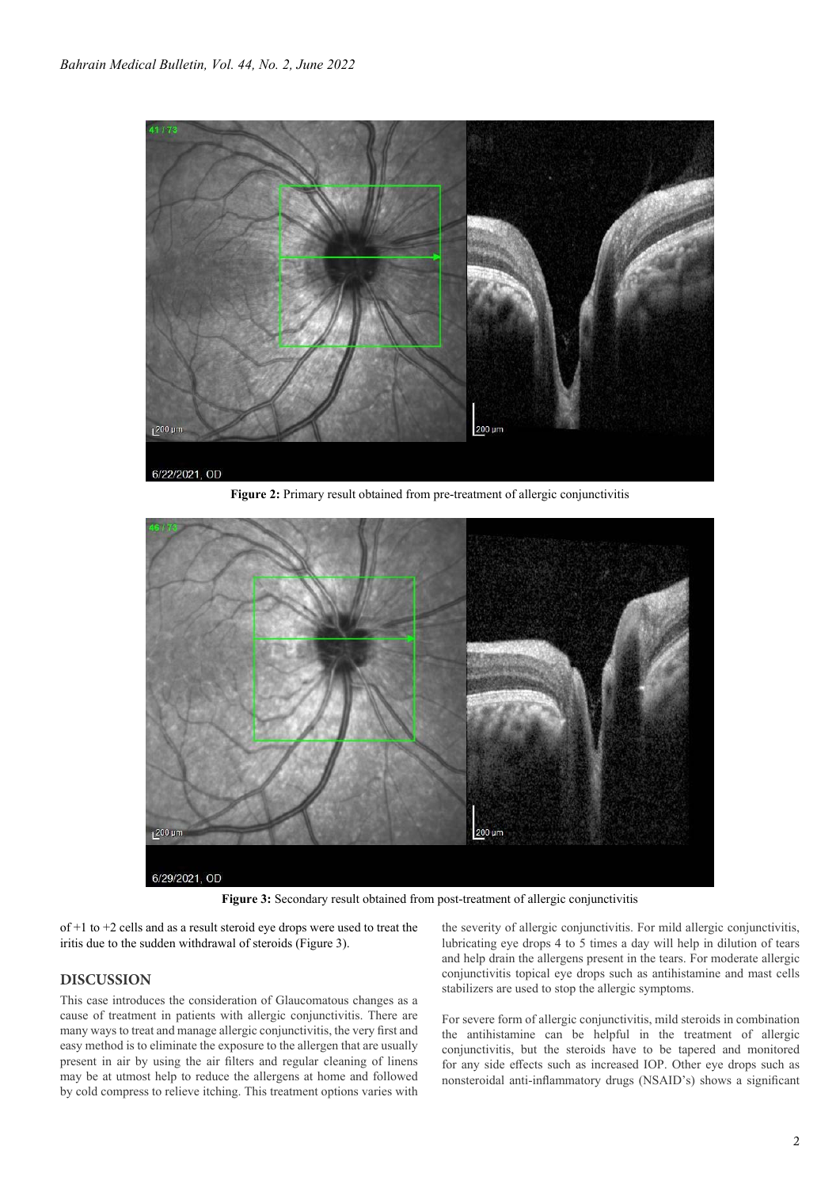

Figure 2: Primary result obtained from pre-treatment of allergic conjunctivitis



**Figure 3:** Secondary result obtained from post-treatment of allergic conjunctivitis

of +1 to +2 cells and as a result steroid eye drops were used to treat the iritis due to the sudden withdrawal of steroids (Figure 3).

### **DISCUSSION**

This case introduces the consideration of Glaucomatous changes as a cause of treatment in patients with allergic conjunctivitis. There are many ways to treat and manage allergic conjunctivitis, the very first and easy method is to eliminate the exposure to the allergen that are usually present in air by using the air filters and regular cleaning of linens may be at utmost help to reduce the allergens at home and followed by cold compress to relieve itching. This treatment options varies with the severity of allergic conjunctivitis. For mild allergic conjunctivitis, lubricating eye drops 4 to 5 times a day will help in dilution of tears and help drain the allergens present in the tears. For moderate allergic conjunctivitis topical eye drops such as antihistamine and mast cells stabilizers are used to stop the allergic symptoms.

For severe form of allergic conjunctivitis, mild steroids in combination the antihistamine can be helpful in the treatment of allergic conjunctivitis, but the steroids have to be tapered and monitored for any side effects such as increased IOP. Other eye drops such as nonsteroidal anti-inflammatory drugs (NSAID's) shows a significant